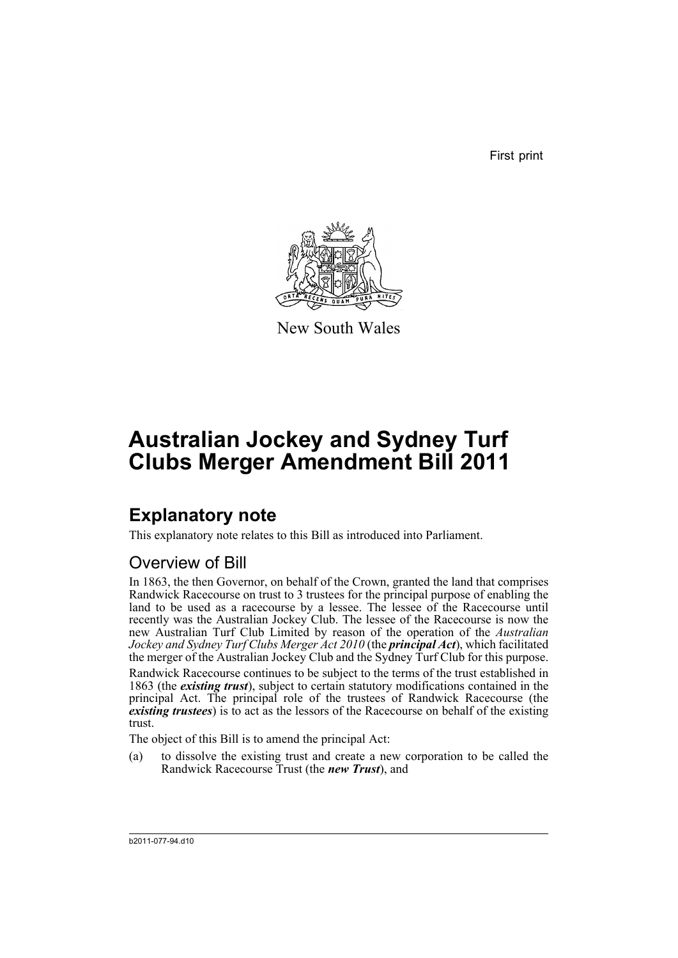First print



New South Wales

# **Australian Jockey and Sydney Turf Clubs Merger Amendment Bill 2011**

## **Explanatory note**

This explanatory note relates to this Bill as introduced into Parliament.

## Overview of Bill

In 1863, the then Governor, on behalf of the Crown, granted the land that comprises Randwick Racecourse on trust to 3 trustees for the principal purpose of enabling the land to be used as a racecourse by a lessee. The lessee of the Racecourse until recently was the Australian Jockey Club. The lessee of the Racecourse is now the new Australian Turf Club Limited by reason of the operation of the *Australian Jockey and Sydney Turf Clubs Merger Act 2010* (the *principal Act*), which facilitated the merger of the Australian Jockey Club and the Sydney Turf Club for this purpose.

Randwick Racecourse continues to be subject to the terms of the trust established in 1863 (the *existing trust*), subject to certain statutory modifications contained in the principal Act. The principal role of the trustees of Randwick Racecourse (the *existing trustees*) is to act as the lessors of the Racecourse on behalf of the existing trust.

The object of this Bill is to amend the principal Act:

(a) to dissolve the existing trust and create a new corporation to be called the Randwick Racecourse Trust (the *new Trust*), and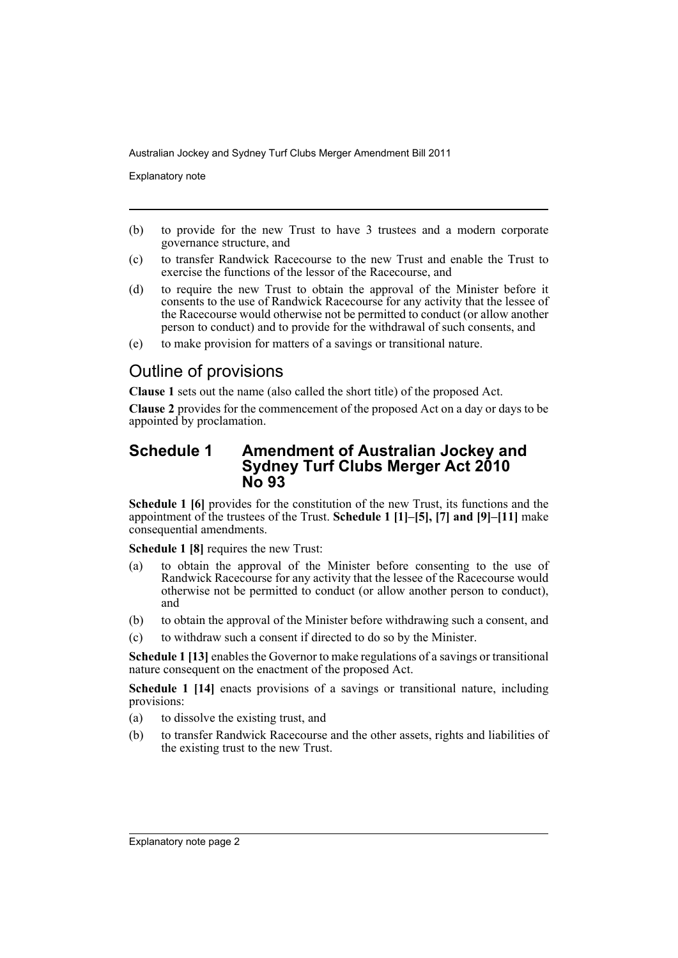Explanatory note

- (b) to provide for the new Trust to have 3 trustees and a modern corporate governance structure, and
- (c) to transfer Randwick Racecourse to the new Trust and enable the Trust to exercise the functions of the lessor of the Racecourse, and
- (d) to require the new Trust to obtain the approval of the Minister before it consents to the use of Randwick Racecourse for any activity that the lessee of the Racecourse would otherwise not be permitted to conduct (or allow another person to conduct) and to provide for the withdrawal of such consents, and
- (e) to make provision for matters of a savings or transitional nature.

## Outline of provisions

**Clause 1** sets out the name (also called the short title) of the proposed Act.

**Clause 2** provides for the commencement of the proposed Act on a day or days to be appointed by proclamation.

#### **Schedule 1 Amendment of Australian Jockey and Sydney Turf Clubs Merger Act 2010 No 93**

**Schedule 1 [6]** provides for the constitution of the new Trust, its functions and the appointment of the trustees of the Trust. **Schedule 1 [1]–[5], [7] and [9]–[11]** make consequential amendments.

**Schedule 1 [8]** requires the new Trust:

- (a) to obtain the approval of the Minister before consenting to the use of Randwick Racecourse for any activity that the lessee of the Racecourse would otherwise not be permitted to conduct (or allow another person to conduct), and
- (b) to obtain the approval of the Minister before withdrawing such a consent, and
- (c) to withdraw such a consent if directed to do so by the Minister.

**Schedule 1 [13]** enables the Governor to make regulations of a savings or transitional nature consequent on the enactment of the proposed Act.

**Schedule 1 [14]** enacts provisions of a savings or transitional nature, including provisions:

- (a) to dissolve the existing trust, and
- (b) to transfer Randwick Racecourse and the other assets, rights and liabilities of the existing trust to the new Trust.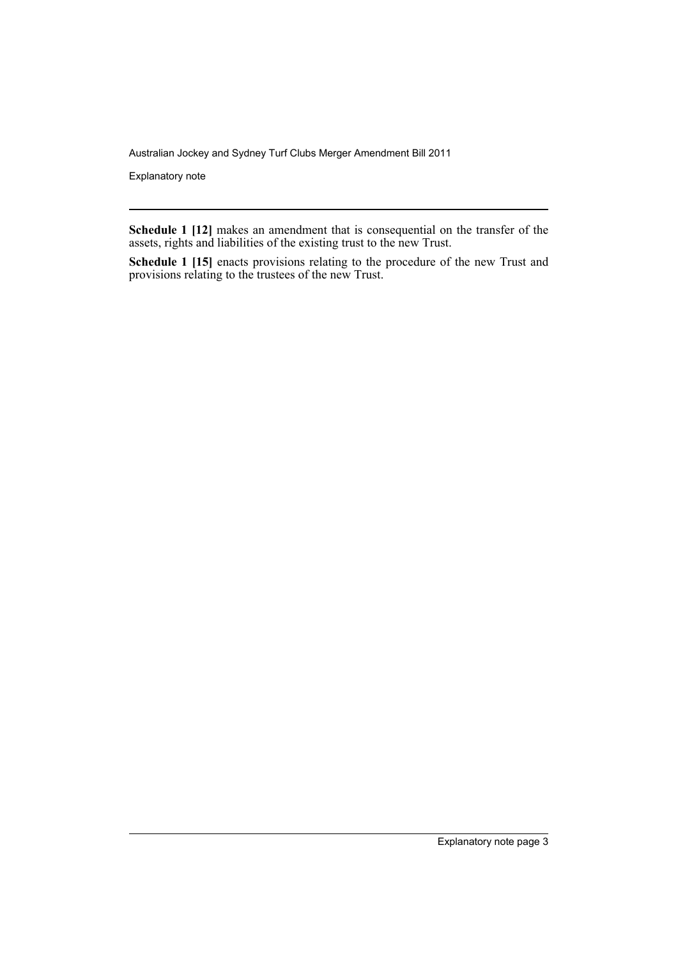Explanatory note

**Schedule 1 [12]** makes an amendment that is consequential on the transfer of the assets, rights and liabilities of the existing trust to the new Trust.

**Schedule 1 [15]** enacts provisions relating to the procedure of the new Trust and provisions relating to the trustees of the new Trust.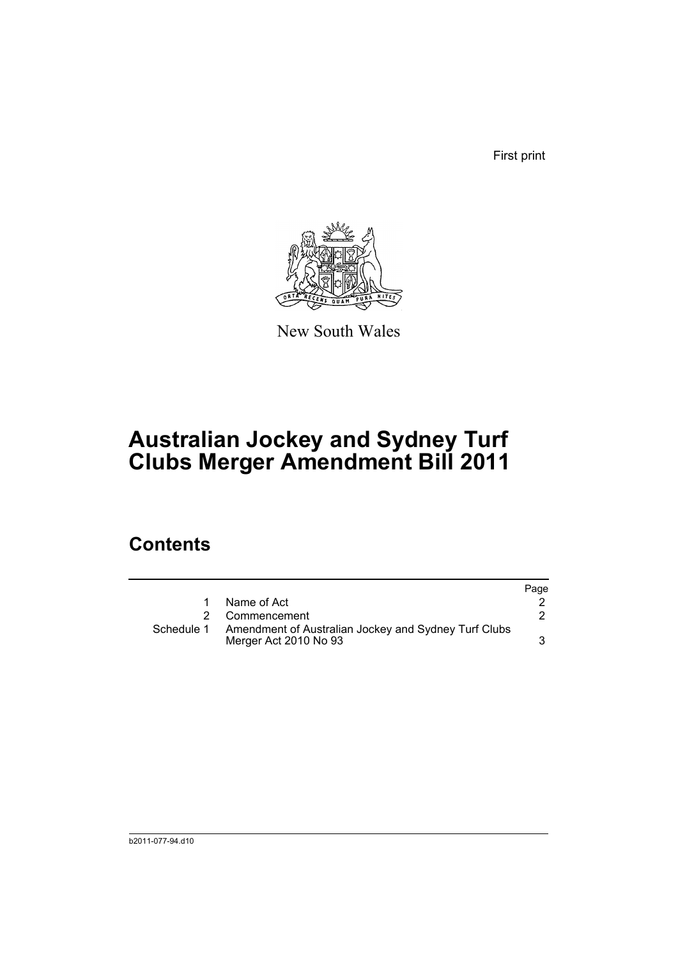First print



New South Wales

# **Australian Jockey and Sydney Turf Clubs Merger Amendment Bill 2011**

## **Contents**

|            |                                                                               | Page |
|------------|-------------------------------------------------------------------------------|------|
|            | Name of Act                                                                   |      |
|            | 2 Commencement                                                                |      |
| Schedule 1 | Amendment of Australian Jockey and Sydney Turf Clubs<br>Merger Act 2010 No 93 |      |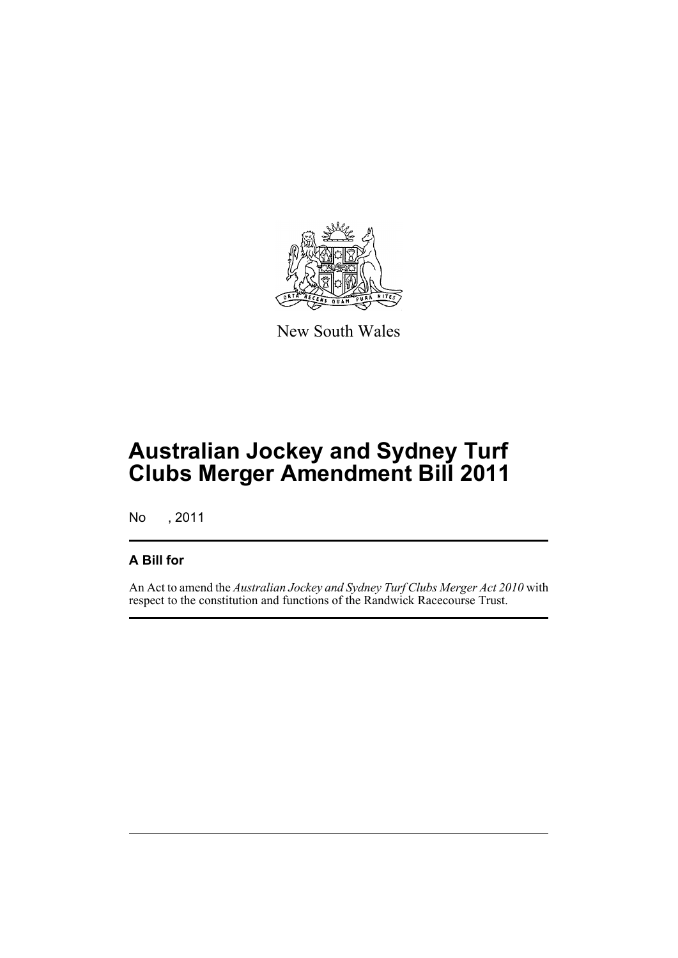

New South Wales

# **Australian Jockey and Sydney Turf Clubs Merger Amendment Bill 2011**

No , 2011

## **A Bill for**

An Act to amend the *Australian Jockey and Sydney Turf Clubs Merger Act 2010* with respect to the constitution and functions of the Randwick Racecourse Trust.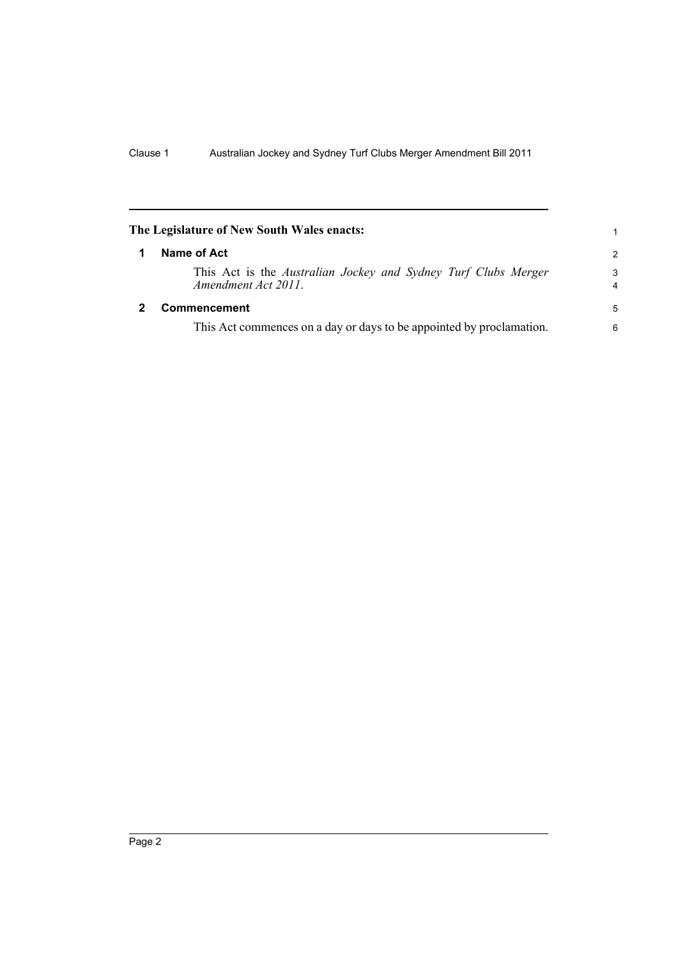<span id="page-7-1"></span><span id="page-7-0"></span>

| The Legislature of New South Wales enacts: |                                                                                       |                     |  |
|--------------------------------------------|---------------------------------------------------------------------------------------|---------------------|--|
| 1                                          | Name of Act                                                                           | $\mathcal{P}$       |  |
|                                            | This Act is the Australian Jockey and Sydney Turf Clubs Merger<br>Amendment Act 2011. | 3<br>$\overline{4}$ |  |
|                                            | Commencement                                                                          | 5                   |  |
|                                            | This Act commences on a day or days to be appointed by proclamation.                  | 6                   |  |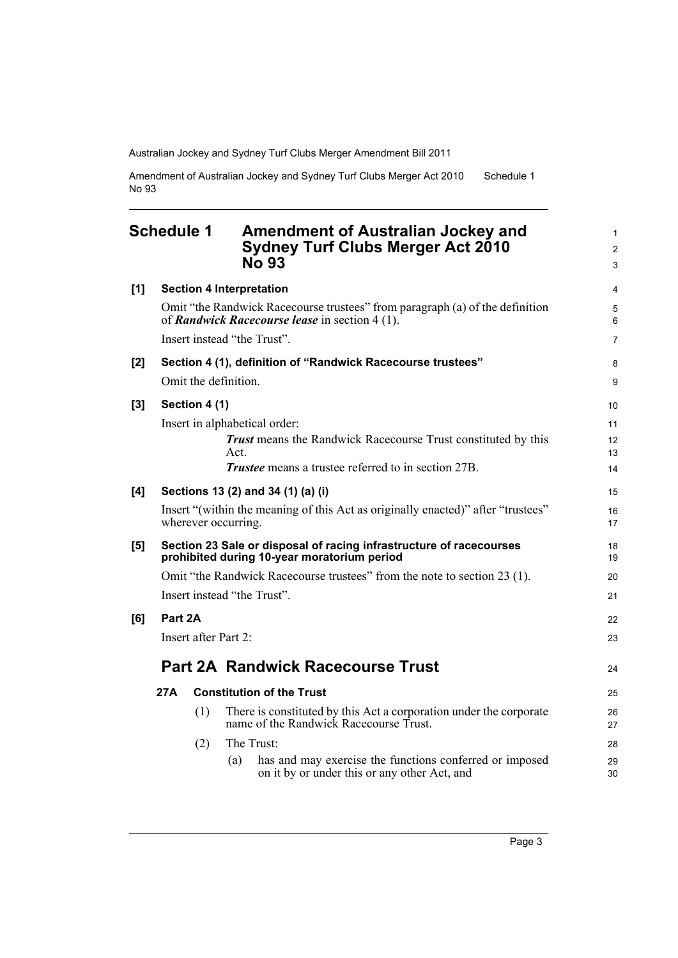Amendment of Australian Jockey and Sydney Turf Clubs Merger Act 2010 No 93 Schedule 1

## <span id="page-8-0"></span>**Schedule 1 Amendment of Australian Jockey and Sydney Turf Clubs Merger Act 2010 No 93**

|     |         |               | NO 93                                                                                                                          | 3              |
|-----|---------|---------------|--------------------------------------------------------------------------------------------------------------------------------|----------------|
| [1] |         |               | <b>Section 4 Interpretation</b>                                                                                                | $\overline{4}$ |
|     |         |               | Omit "the Randwick Racecourse trustees" from paragraph (a) of the definition<br>of Randwick Racecourse lease in section 4 (1). | 5<br>6         |
|     |         |               | Insert instead "the Trust".                                                                                                    | $\overline{7}$ |
| [2] |         |               | Section 4 (1), definition of "Randwick Racecourse trustees"                                                                    | 8              |
|     |         |               | Omit the definition.                                                                                                           | 9              |
| [3] |         | Section 4 (1) |                                                                                                                                | 10             |
|     |         |               | Insert in alphabetical order:                                                                                                  | 11             |
|     |         |               | <b>Trust</b> means the Randwick Racecourse Trust constituted by this                                                           | 12             |
|     |         |               | Act.                                                                                                                           | 13             |
|     |         |               | <b>Trustee</b> means a trustee referred to in section 27B.                                                                     | 14             |
| [4] |         |               | Sections 13 (2) and 34 (1) (a) (i)                                                                                             | 15             |
|     |         |               | Insert "(within the meaning of this Act as originally enacted)" after "trustees"<br>wherever occurring.                        | 16<br>17       |
| [5] |         |               | Section 23 Sale or disposal of racing infrastructure of racecourses<br>prohibited during 10-year moratorium period             | 18<br>19       |
|     |         |               | Omit "the Randwick Racecourse trustees" from the note to section 23 (1).                                                       | 20             |
|     |         |               | Insert instead "the Trust".                                                                                                    | 21             |
| [6] | Part 2A |               |                                                                                                                                | 22             |
|     |         |               | Insert after Part 2:                                                                                                           | 23             |
|     |         |               | <b>Part 2A Randwick Racecourse Trust</b>                                                                                       | 24             |
|     |         |               |                                                                                                                                |                |
|     | 27A     |               | <b>Constitution of the Trust</b>                                                                                               | 25             |
|     |         | (1)           | There is constituted by this Act a corporation under the corporate<br>name of the Randwick Racecourse Trust.                   | 26<br>27       |
|     |         | (2)           | The Trust:                                                                                                                     | 28             |
|     |         |               | has and may exercise the functions conferred or imposed<br>(a)<br>on it by or under this or any other Act, and                 | 29<br>30       |
|     |         |               |                                                                                                                                |                |

1 2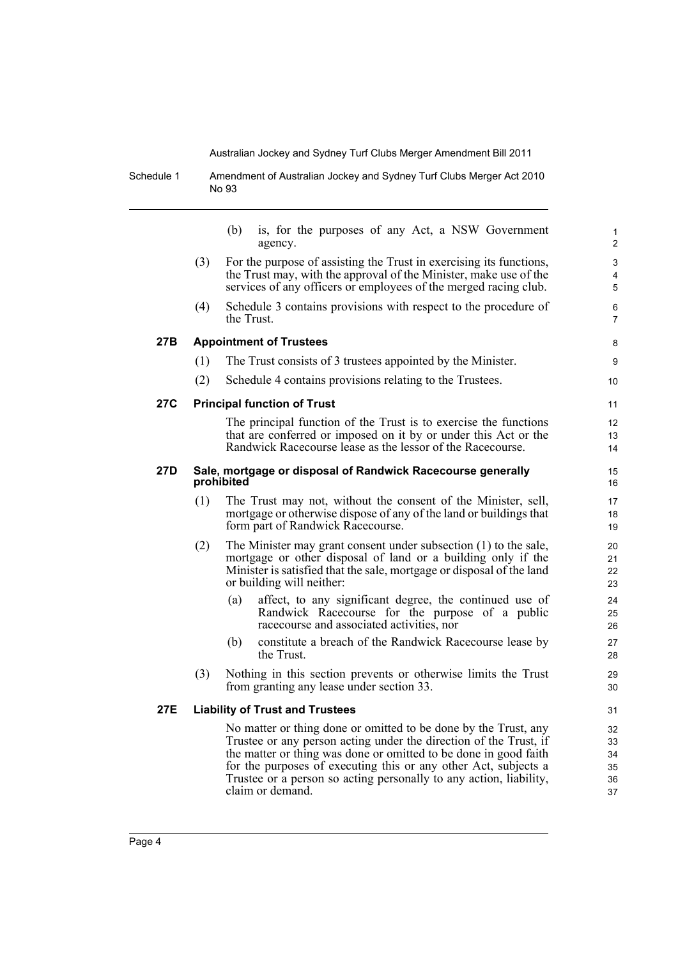Schedule 1 Amendment of Australian Jockey and Sydney Turf Clubs Merger Act 2010 No 93

|     |     | is, for the purposes of any Act, a NSW Government<br>(b)<br>agency.                                                                                                                                                                                                                                                                               | $\mathbf{1}$<br>2          |
|-----|-----|---------------------------------------------------------------------------------------------------------------------------------------------------------------------------------------------------------------------------------------------------------------------------------------------------------------------------------------------------|----------------------------|
|     | (3) | For the purpose of assisting the Trust in exercising its functions,<br>the Trust may, with the approval of the Minister, make use of the<br>services of any officers or employees of the merged racing club.                                                                                                                                      | 3<br>4<br>5                |
|     | (4) | Schedule 3 contains provisions with respect to the procedure of<br>the Trust.                                                                                                                                                                                                                                                                     | 6<br>$\overline{7}$        |
| 27B |     | <b>Appointment of Trustees</b>                                                                                                                                                                                                                                                                                                                    | 8                          |
|     | (1) | The Trust consists of 3 trustees appointed by the Minister.                                                                                                                                                                                                                                                                                       | 9                          |
|     | (2) | Schedule 4 contains provisions relating to the Trustees.                                                                                                                                                                                                                                                                                          | 10                         |
| 27C |     | <b>Principal function of Trust</b>                                                                                                                                                                                                                                                                                                                | 11                         |
|     |     | The principal function of the Trust is to exercise the functions<br>that are conferred or imposed on it by or under this Act or the<br>Randwick Racecourse lease as the lessor of the Racecourse.                                                                                                                                                 | 12<br>13<br>14             |
| 27D |     | Sale, mortgage or disposal of Randwick Racecourse generally<br>prohibited                                                                                                                                                                                                                                                                         | 15<br>16                   |
|     | (1) | The Trust may not, without the consent of the Minister, sell,<br>mortgage or otherwise dispose of any of the land or buildings that<br>form part of Randwick Racecourse.                                                                                                                                                                          | 17<br>18<br>19             |
|     | (2) | The Minister may grant consent under subsection (1) to the sale,<br>mortgage or other disposal of land or a building only if the<br>Minister is satisfied that the sale, mortgage or disposal of the land<br>or building will neither:                                                                                                            | 20<br>21<br>22<br>23       |
|     |     | (a)<br>affect, to any significant degree, the continued use of<br>Randwick Racecourse for the purpose of a public<br>racecourse and associated activities, nor                                                                                                                                                                                    | 24<br>25<br>26             |
|     |     | constitute a breach of the Randwick Racecourse lease by<br>(b)<br>the Trust.                                                                                                                                                                                                                                                                      | 27<br>28                   |
|     | (3) | Nothing in this section prevents or otherwise limits the Trust<br>from granting any lease under section 33.                                                                                                                                                                                                                                       | 29<br>30                   |
| 27E |     | <b>Liability of Trust and Trustees</b>                                                                                                                                                                                                                                                                                                            | 31                         |
|     |     | No matter or thing done or omitted to be done by the Trust, any<br>Trustee or any person acting under the direction of the Trust, if<br>the matter or thing was done or omitted to be done in good faith<br>for the purposes of executing this or any other Act, subjects a<br>Trustee or a person so acting personally to any action, liability, | 32<br>33<br>34<br>35<br>36 |

37

 $\overline{\phantom{0}}$ 

claim or demand.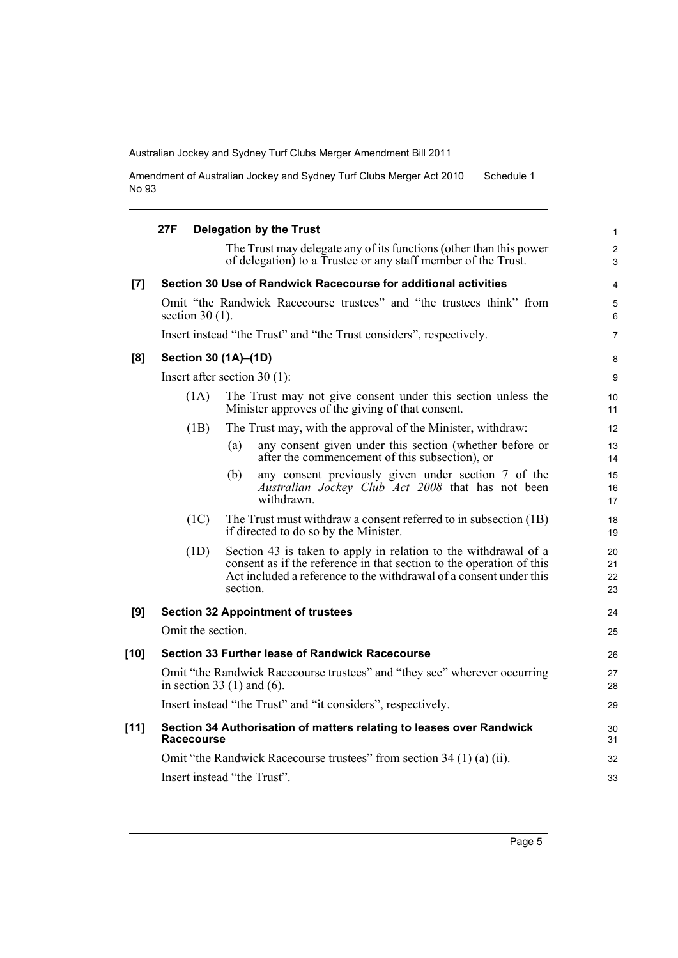Amendment of Australian Jockey and Sydney Turf Clubs Merger Act 2010 No 93 Schedule 1

|        | 27F               | <b>Delegation by the Trust</b>                                                                                                                                                                                            | $\mathbf{1}$          |
|--------|-------------------|---------------------------------------------------------------------------------------------------------------------------------------------------------------------------------------------------------------------------|-----------------------|
|        |                   | The Trust may delegate any of its functions (other than this power<br>of delegation) to a Trustee or any staff member of the Trust.                                                                                       | $\boldsymbol{2}$<br>3 |
| [7]    |                   | Section 30 Use of Randwick Racecourse for additional activities                                                                                                                                                           | $\overline{4}$        |
|        | section $30(1)$ . | Omit "the Randwick Racecourse trustees" and "the trustees think" from                                                                                                                                                     | 5<br>6                |
|        |                   | Insert instead "the Trust" and "the Trust considers", respectively.                                                                                                                                                       | $\overline{7}$        |
| [8]    |                   | Section 30 (1A)-(1D)                                                                                                                                                                                                      | 8                     |
|        |                   | Insert after section $30(1)$ :                                                                                                                                                                                            | 9                     |
|        | (1A)              | The Trust may not give consent under this section unless the<br>Minister approves of the giving of that consent.                                                                                                          | 10<br>11              |
|        | (1B)              | The Trust may, with the approval of the Minister, withdraw:                                                                                                                                                               | 12                    |
|        |                   | any consent given under this section (whether before or<br>(a)<br>after the commencement of this subsection), or                                                                                                          | 13<br>14              |
|        |                   | any consent previously given under section 7 of the<br>(b)<br>Australian Jockey Club Act 2008 that has not been<br>withdrawn.                                                                                             | 15<br>16<br>17        |
|        | (1C)              | The Trust must withdraw a consent referred to in subsection (1B)<br>if directed to do so by the Minister.                                                                                                                 | 18<br>19              |
|        | (1D)              | Section 43 is taken to apply in relation to the withdrawal of a<br>consent as if the reference in that section to the operation of this<br>Act included a reference to the withdrawal of a consent under this<br>section. | 20<br>21<br>22<br>23  |
| [9]    |                   | <b>Section 32 Appointment of trustees</b>                                                                                                                                                                                 | 24                    |
|        | Omit the section. |                                                                                                                                                                                                                           | 25                    |
| $[10]$ |                   | Section 33 Further lease of Randwick Racecourse                                                                                                                                                                           | 26                    |
|        |                   | Omit "the Randwick Racecourse trustees" and "they see" wherever occurring<br>in section 33 $(1)$ and $(6)$ .                                                                                                              | 27<br>28              |
|        |                   | Insert instead "the Trust" and "it considers", respectively.                                                                                                                                                              | 29                    |
| [11]   | Racecourse        | Section 34 Authorisation of matters relating to leases over Randwick                                                                                                                                                      | 30<br>31              |
|        |                   | Omit "the Randwick Racecourse trustees" from section 34 (1) (a) (ii).                                                                                                                                                     | 32                    |
|        |                   | Insert instead "the Trust".                                                                                                                                                                                               | 33                    |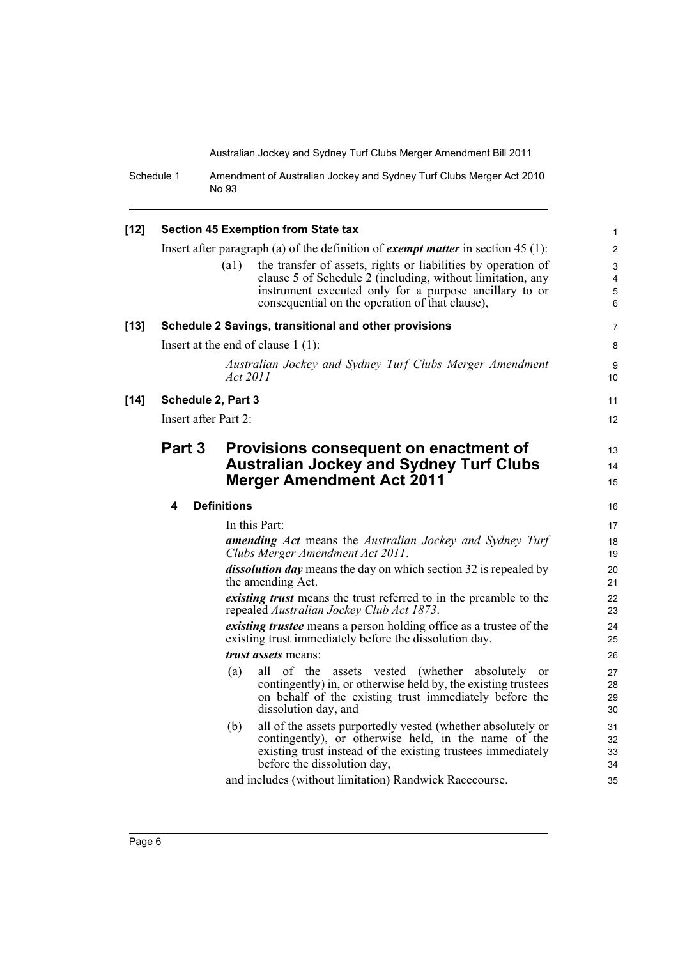Schedule 1 Amendment of Australian Jockey and Sydney Turf Clubs Merger Act 2010 No 93

| $[12]$ |                      | <b>Section 45 Exemption from State tax</b>                                                                                          | $\mathbf{1}$ |
|--------|----------------------|-------------------------------------------------------------------------------------------------------------------------------------|--------------|
|        |                      | Insert after paragraph (a) of the definition of <i>exempt matter</i> in section $45(1)$ :                                           | 2            |
|        |                      | the transfer of assets, rights or liabilities by operation of<br>(a1)                                                               | 3            |
|        |                      | clause 5 of Schedule 2 (including, without limitation, any                                                                          | 4            |
|        |                      | instrument executed only for a purpose ancillary to or<br>consequential on the operation of that clause),                           | 5<br>6       |
|        |                      |                                                                                                                                     |              |
| $[13]$ |                      | Schedule 2 Savings, transitional and other provisions                                                                               | 7            |
|        |                      | Insert at the end of clause $1(1)$ :                                                                                                | 8            |
|        |                      | Australian Jockey and Sydney Turf Clubs Merger Amendment<br><i>Act</i> 2011                                                         | 9<br>10      |
| $[14]$ | Schedule 2, Part 3   |                                                                                                                                     | 11           |
|        | Insert after Part 2: |                                                                                                                                     | 12           |
|        | Part 3               | Provisions consequent on enactment of                                                                                               | 13           |
|        |                      | <b>Australian Jockey and Sydney Turf Clubs</b>                                                                                      | 14           |
|        |                      | <b>Merger Amendment Act 2011</b>                                                                                                    | 15           |
|        |                      |                                                                                                                                     |              |
|        | 4                    | <b>Definitions</b>                                                                                                                  | 16           |
|        |                      | In this Part:                                                                                                                       | 17           |
|        |                      | <b>amending Act</b> means the Australian Jockey and Sydney Turf<br>Clubs Merger Amendment Act 2011.                                 | 18<br>19     |
|        |                      | <i>dissolution day</i> means the day on which section 32 is repealed by<br>the amending Act.                                        | 20<br>21     |
|        |                      | <i>existing trust</i> means the trust referred to in the preamble to the<br>repealed Australian Jockey Club Act 1873.               | 22<br>23     |
|        |                      | <i>existing trustee</i> means a person holding office as a trustee of the<br>existing trust immediately before the dissolution day. | 24<br>25     |
|        |                      | <i>trust assets</i> means:                                                                                                          | 26           |
|        |                      | all of the assets vested (whether absolutely<br>(a)<br><sub>or</sub>                                                                | 27           |
|        |                      | contingently) in, or otherwise held by, the existing trustees                                                                       | 28           |
|        |                      | on behalf of the existing trust immediately before the<br>dissolution day, and                                                      | 29<br>30     |
|        |                      | all of the assets purportedly vested (whether absolutely or<br>(b)                                                                  | 31           |
|        |                      | contingently), or otherwise held, in the name of the                                                                                | 32           |
|        |                      | existing trust instead of the existing trustees immediately                                                                         | 33           |
|        |                      | before the dissolution day,                                                                                                         | 34           |
|        |                      | and includes (without limitation) Randwick Racecourse.                                                                              | 35           |
|        |                      |                                                                                                                                     |              |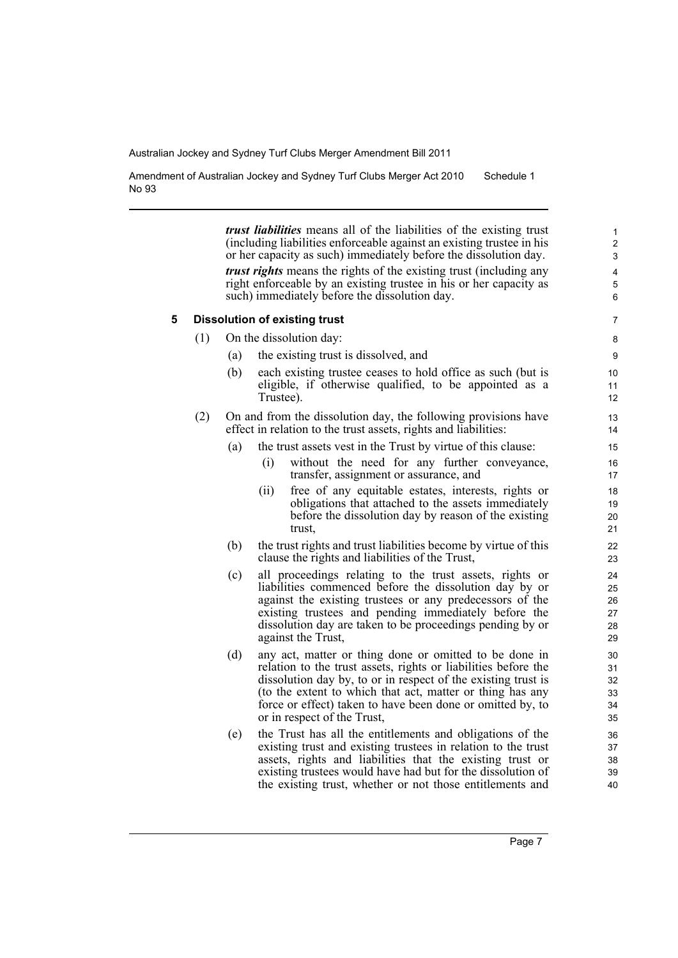Amendment of Australian Jockey and Sydney Turf Clubs Merger Act 2010 No 93 Schedule 1

> *trust liabilities* means all of the liabilities of the existing trust (including liabilities enforceable against an existing trustee in his or her capacity as such) immediately before the dissolution day. *trust rights* means the rights of the existing trust (including any right enforceable by an existing trustee in his or her capacity as such) immediately before the dissolution day.

#### **5 Dissolution of existing trust**

(1) On the dissolution day:

- (a) the existing trust is dissolved, and
- (b) each existing trustee ceases to hold office as such (but is eligible, if otherwise qualified, to be appointed as a Trustee).
- (2) On and from the dissolution day, the following provisions have effect in relation to the trust assets, rights and liabilities:
	- (a) the trust assets vest in the Trust by virtue of this clause:
		- (i) without the need for any further conveyance, transfer, assignment or assurance, and
		- (ii) free of any equitable estates, interests, rights or obligations that attached to the assets immediately before the dissolution day by reason of the existing trust,
	- (b) the trust rights and trust liabilities become by virtue of this clause the rights and liabilities of the Trust,
	- (c) all proceedings relating to the trust assets, rights or liabilities commenced before the dissolution day by or against the existing trustees or any predecessors of the existing trustees and pending immediately before the dissolution day are taken to be proceedings pending by or against the Trust,
	- (d) any act, matter or thing done or omitted to be done in relation to the trust assets, rights or liabilities before the dissolution day by, to or in respect of the existing trust is (to the extent to which that act, matter or thing has any force or effect) taken to have been done or omitted by, to or in respect of the Trust,
	- (e) the Trust has all the entitlements and obligations of the existing trust and existing trustees in relation to the trust assets, rights and liabilities that the existing trust or existing trustees would have had but for the dissolution of the existing trust, whether or not those entitlements and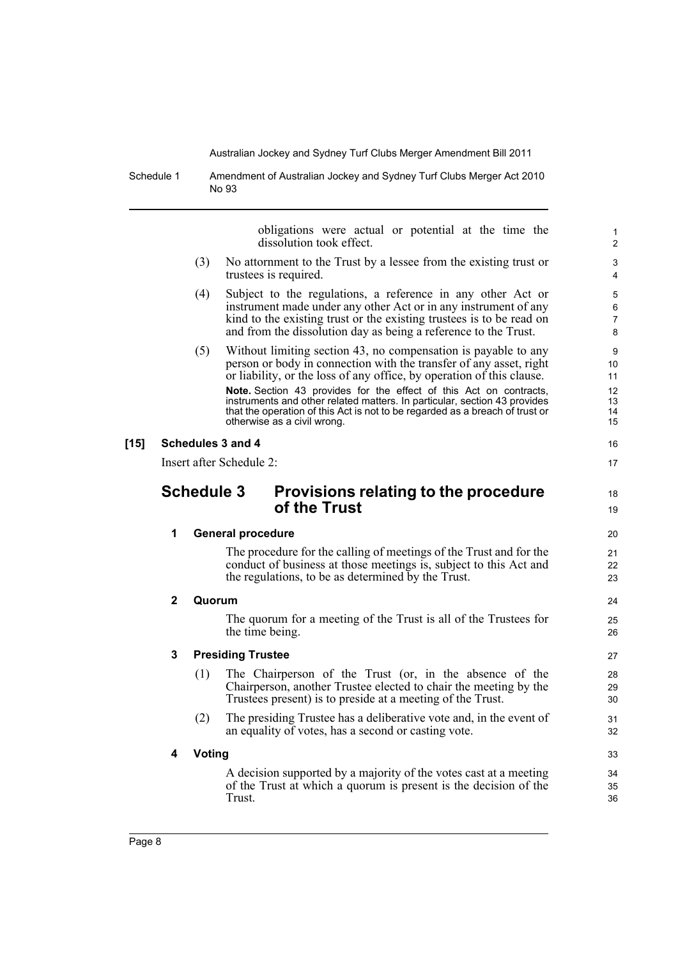Schedule 1 Amendment of Australian Jockey and Sydney Turf Clubs Merger Act 2010 No 93

obligations were actual or potential at the time the dissolution took effect. (3) No attornment to the Trust by a lessee from the existing trust or trustees is required. (4) Subject to the regulations, a reference in any other Act or instrument made under any other Act or in any instrument of any kind to the existing trust or the existing trustees is to be read on and from the dissolution day as being a reference to the Trust. (5) Without limiting section 43, no compensation is payable to any person or body in connection with the transfer of any asset, right or liability, or the loss of any office, by operation of this clause. **Note.** Section 43 provides for the effect of this Act on contracts, instruments and other related matters. In particular, section 43 provides that the operation of this Act is not to be regarded as a breach of trust or otherwise as a civil wrong. **[15] Schedules 3 and 4** Insert after Schedule 2: **Schedule 3 Provisions relating to the procedure of the Trust 1 General procedure** The procedure for the calling of meetings of the Trust and for the conduct of business at those meetings is, subject to this Act and the regulations, to be as determined by the Trust. **2 Quorum** The quorum for a meeting of the Trust is all of the Trustees for the time being. **3 Presiding Trustee** (1) The Chairperson of the Trust (or, in the absence of the Chairperson, another Trustee elected to chair the meeting by the Trustees present) is to preside at a meeting of the Trust. (2) The presiding Trustee has a deliberative vote and, in the event of an equality of votes, has a second or casting vote. **4 Voting** A decision supported by a majority of the votes cast at a meeting of the Trust at which a quorum is present is the decision of the Trust. 10 11 12 13 14 15 16 17 18 19 20 21 22 23 24 25 26 27 28 29 30 31 32 33 34 35 36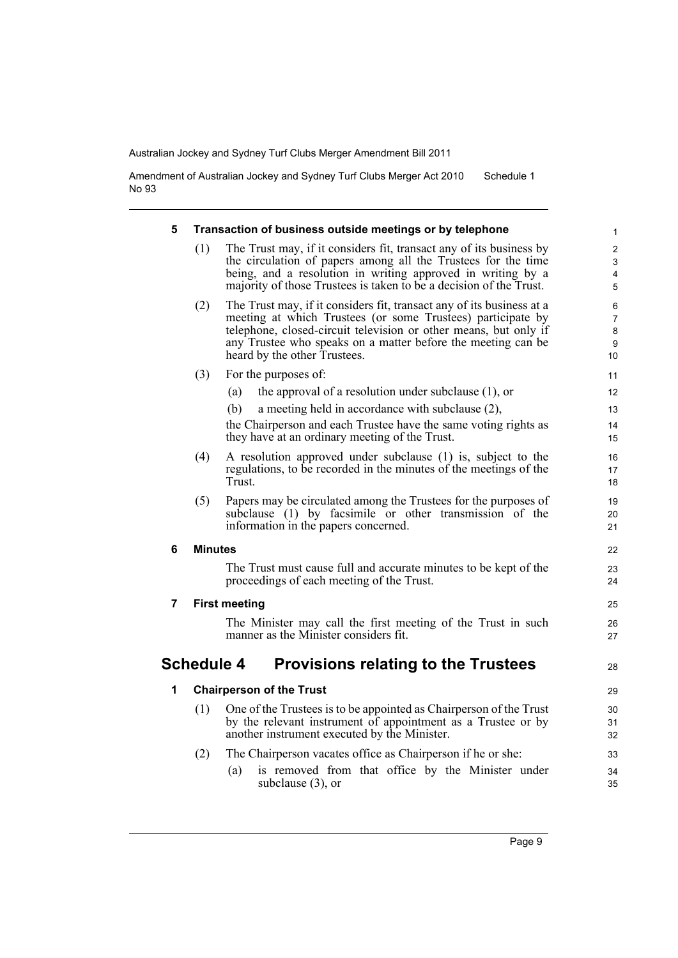Amendment of Australian Jockey and Sydney Turf Clubs Merger Act 2010 No 93 Schedule 1

| 5 | Transaction of business outside meetings or by telephone |                                                                                                                                                                                                                                                                                                          |                                            |  |  |
|---|----------------------------------------------------------|----------------------------------------------------------------------------------------------------------------------------------------------------------------------------------------------------------------------------------------------------------------------------------------------------------|--------------------------------------------|--|--|
|   | (1)                                                      | The Trust may, if it considers fit, transact any of its business by<br>the circulation of papers among all the Trustees for the time<br>being, and a resolution in writing approved in writing by a<br>majority of those Trustees is taken to be a decision of the Trust.                                | $\overline{2}$<br>3<br>$\overline{4}$<br>5 |  |  |
|   | (2)                                                      | The Trust may, if it considers fit, transact any of its business at a<br>meeting at which Trustees (or some Trustees) participate by<br>telephone, closed-circuit television or other means, but only if<br>any Trustee who speaks on a matter before the meeting can be<br>heard by the other Trustees. | 6<br>$\overline{7}$<br>8<br>9<br>10        |  |  |
|   | (3)                                                      | For the purposes of:                                                                                                                                                                                                                                                                                     | 11                                         |  |  |
|   |                                                          | the approval of a resolution under subclause $(1)$ , or<br>(a)                                                                                                                                                                                                                                           | 12                                         |  |  |
|   |                                                          | (b)<br>a meeting held in accordance with subclause (2),                                                                                                                                                                                                                                                  | 13                                         |  |  |
|   |                                                          | the Chairperson and each Trustee have the same voting rights as<br>they have at an ordinary meeting of the Trust.                                                                                                                                                                                        | 14<br>15                                   |  |  |
|   | (4)                                                      | A resolution approved under subclause (1) is, subject to the<br>regulations, to be recorded in the minutes of the meetings of the<br>Trust.                                                                                                                                                              | 16<br>17<br>18                             |  |  |
|   | (5)                                                      | Papers may be circulated among the Trustees for the purposes of<br>subclause (1) by facsimile or other transmission of the<br>information in the papers concerned.                                                                                                                                       | 19<br>20<br>21                             |  |  |
| 6 | <b>Minutes</b>                                           |                                                                                                                                                                                                                                                                                                          |                                            |  |  |
|   |                                                          | The Trust must cause full and accurate minutes to be kept of the<br>proceedings of each meeting of the Trust.                                                                                                                                                                                            | 23<br>24                                   |  |  |
| 7 | <b>First meeting</b>                                     |                                                                                                                                                                                                                                                                                                          |                                            |  |  |
|   |                                                          | The Minister may call the first meeting of the Trust in such<br>manner as the Minister considers fit.                                                                                                                                                                                                    | 26<br>27                                   |  |  |
|   | <b>Schedule 4</b>                                        | <b>Provisions relating to the Trustees</b>                                                                                                                                                                                                                                                               | 28                                         |  |  |
| 1 | <b>Chairperson of the Trust</b>                          |                                                                                                                                                                                                                                                                                                          |                                            |  |  |
|   | (1)                                                      | One of the Trustees is to be appointed as Chairperson of the Trust<br>by the relevant instrument of appointment as a Trustee or by<br>another instrument executed by the Minister.                                                                                                                       | 30<br>31<br>32                             |  |  |
|   | (2)                                                      | The Chairperson vacates office as Chairperson if he or she:                                                                                                                                                                                                                                              | 33                                         |  |  |
|   |                                                          | is removed from that office by the Minister under<br>(a)<br>subclause $(3)$ , or                                                                                                                                                                                                                         | 34<br>35                                   |  |  |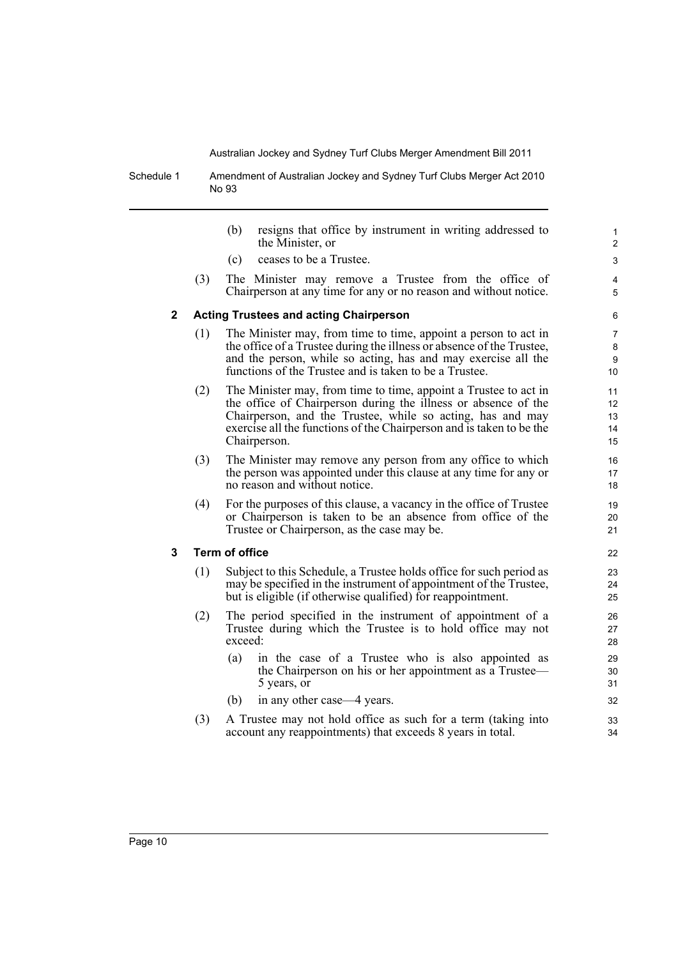Schedule 1 Amendment of Australian Jockey and Sydney Turf Clubs Merger Act 2010 No 93

|              |     | (b)<br>resigns that office by instrument in writing addressed to<br>the Minister, or                                                                                                                                                                                                     | 1<br>2                         |
|--------------|-----|------------------------------------------------------------------------------------------------------------------------------------------------------------------------------------------------------------------------------------------------------------------------------------------|--------------------------------|
|              |     | ceases to be a Trustee.<br>(c)                                                                                                                                                                                                                                                           | 3                              |
|              | (3) | The Minister may remove a Trustee from the office of<br>Chairperson at any time for any or no reason and without notice.                                                                                                                                                                 | 4<br>5                         |
| $\mathbf{2}$ |     | <b>Acting Trustees and acting Chairperson</b>                                                                                                                                                                                                                                            | 6                              |
|              | (1) | The Minister may, from time to time, appoint a person to act in<br>the office of a Trustee during the illness or absence of the Trustee,<br>and the person, while so acting, has and may exercise all the<br>functions of the Trustee and is taken to be a Trustee.                      | $\overline{7}$<br>8<br>9<br>10 |
|              | (2) | The Minister may, from time to time, appoint a Trustee to act in<br>the office of Chairperson during the illness or absence of the<br>Chairperson, and the Trustee, while so acting, has and may<br>exercise all the functions of the Chairperson and is taken to be the<br>Chairperson. | 11<br>12<br>13<br>14<br>15     |
|              | (3) | The Minister may remove any person from any office to which<br>the person was appointed under this clause at any time for any or<br>no reason and without notice.                                                                                                                        | 16<br>17<br>18                 |
|              | (4) | For the purposes of this clause, a vacancy in the office of Trustee<br>or Chairperson is taken to be an absence from office of the<br>Trustee or Chairperson, as the case may be.                                                                                                        | 19<br>20<br>21                 |
| 3            |     | <b>Term of office</b>                                                                                                                                                                                                                                                                    | 22                             |
|              | (1) | Subject to this Schedule, a Trustee holds office for such period as<br>may be specified in the instrument of appointment of the Trustee,<br>but is eligible (if otherwise qualified) for reappointment.                                                                                  | 23<br>24<br>25                 |
|              | (2) | The period specified in the instrument of appointment of a<br>Trustee during which the Trustee is to hold office may not<br>exceed:                                                                                                                                                      | 26<br>27<br>28                 |
|              |     | (a)<br>in the case of a Trustee who is also appointed as<br>the Chairperson on his or her appointment as a Trustee—<br>5 years, or                                                                                                                                                       | 29<br>30<br>31                 |
|              |     | in any other case—4 years.<br>(b)                                                                                                                                                                                                                                                        | 32                             |
|              | (3) | A Trustee may not hold office as such for a term (taking into<br>account any reappointments) that exceeds 8 years in total.                                                                                                                                                              | 33<br>34                       |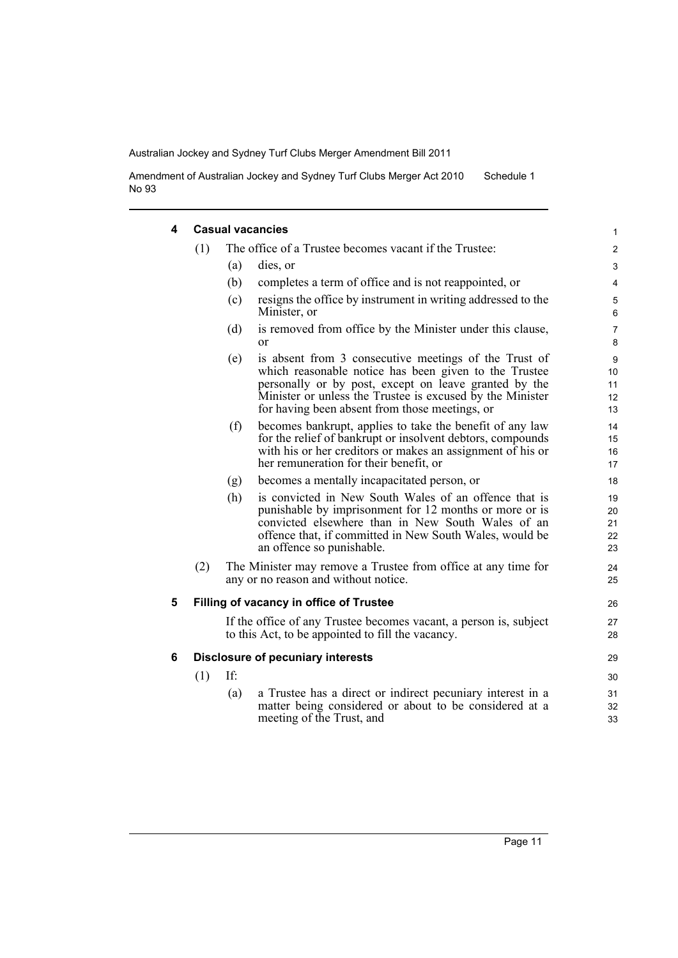Amendment of Australian Jockey and Sydney Turf Clubs Merger Act 2010 No 93 Schedule 1

#### **4 Casual vacancies**

|     |     |                                                                                                                                                                                                                                                                                        | $\mathbf{1}$                                                                                                                                                                                                                                                                                                                                                                                                |
|-----|-----|----------------------------------------------------------------------------------------------------------------------------------------------------------------------------------------------------------------------------------------------------------------------------------------|-------------------------------------------------------------------------------------------------------------------------------------------------------------------------------------------------------------------------------------------------------------------------------------------------------------------------------------------------------------------------------------------------------------|
| (1) |     |                                                                                                                                                                                                                                                                                        | $\overline{c}$                                                                                                                                                                                                                                                                                                                                                                                              |
|     | (a) | dies, or                                                                                                                                                                                                                                                                               | $\mathsf 3$                                                                                                                                                                                                                                                                                                                                                                                                 |
|     | (b) | completes a term of office and is not reappointed, or                                                                                                                                                                                                                                  | $\overline{\mathbf{4}}$                                                                                                                                                                                                                                                                                                                                                                                     |
|     | (c) | resigns the office by instrument in writing addressed to the<br>Minister, or                                                                                                                                                                                                           | 5<br>$6\phantom{1}6$                                                                                                                                                                                                                                                                                                                                                                                        |
|     | (d) | is removed from office by the Minister under this clause,<br>$\alpha$                                                                                                                                                                                                                  | $\overline{7}$<br>8                                                                                                                                                                                                                                                                                                                                                                                         |
|     | (e) | is absent from 3 consecutive meetings of the Trust of<br>which reasonable notice has been given to the Trustee<br>personally or by post, except on leave granted by the<br>Minister or unless the Trustee is excused by the Minister<br>for having been absent from those meetings, or | $\boldsymbol{9}$<br>10<br>11<br>12<br>13                                                                                                                                                                                                                                                                                                                                                                    |
|     | (f) | becomes bankrupt, applies to take the benefit of any law<br>for the relief of bankrupt or insolvent debtors, compounds<br>with his or her creditors or makes an assignment of his or<br>her remuneration for their benefit, or                                                         | 14<br>15<br>16<br>17                                                                                                                                                                                                                                                                                                                                                                                        |
|     | (g) | becomes a mentally incapacitated person, or                                                                                                                                                                                                                                            | 18                                                                                                                                                                                                                                                                                                                                                                                                          |
|     | (h) | is convicted in New South Wales of an offence that is<br>punishable by imprisonment for 12 months or more or is<br>convicted elsewhere than in New South Wales of an<br>offence that, if committed in New South Wales, would be<br>an offence so punishable.                           | 19<br>20<br>21<br>22<br>23                                                                                                                                                                                                                                                                                                                                                                                  |
| (2) |     |                                                                                                                                                                                                                                                                                        | 24<br>25                                                                                                                                                                                                                                                                                                                                                                                                    |
|     |     |                                                                                                                                                                                                                                                                                        | 26                                                                                                                                                                                                                                                                                                                                                                                                          |
|     |     |                                                                                                                                                                                                                                                                                        | 27<br>28                                                                                                                                                                                                                                                                                                                                                                                                    |
|     |     |                                                                                                                                                                                                                                                                                        | 29                                                                                                                                                                                                                                                                                                                                                                                                          |
| (1) | If: |                                                                                                                                                                                                                                                                                        | 30                                                                                                                                                                                                                                                                                                                                                                                                          |
|     | (a) | a Trustee has a direct or indirect pecuniary interest in a<br>matter being considered or about to be considered at a<br>meeting of the Trust, and                                                                                                                                      | 31<br>32<br>33                                                                                                                                                                                                                                                                                                                                                                                              |
|     |     |                                                                                                                                                                                                                                                                                        | <b>Casual vacancies</b><br>The office of a Trustee becomes vacant if the Trustee:<br>The Minister may remove a Trustee from office at any time for<br>any or no reason and without notice.<br>Filling of vacancy in office of Trustee<br>If the office of any Trustee becomes vacant, a person is, subject<br>to this Act, to be appointed to fill the vacancy.<br><b>Disclosure of pecuniary interests</b> |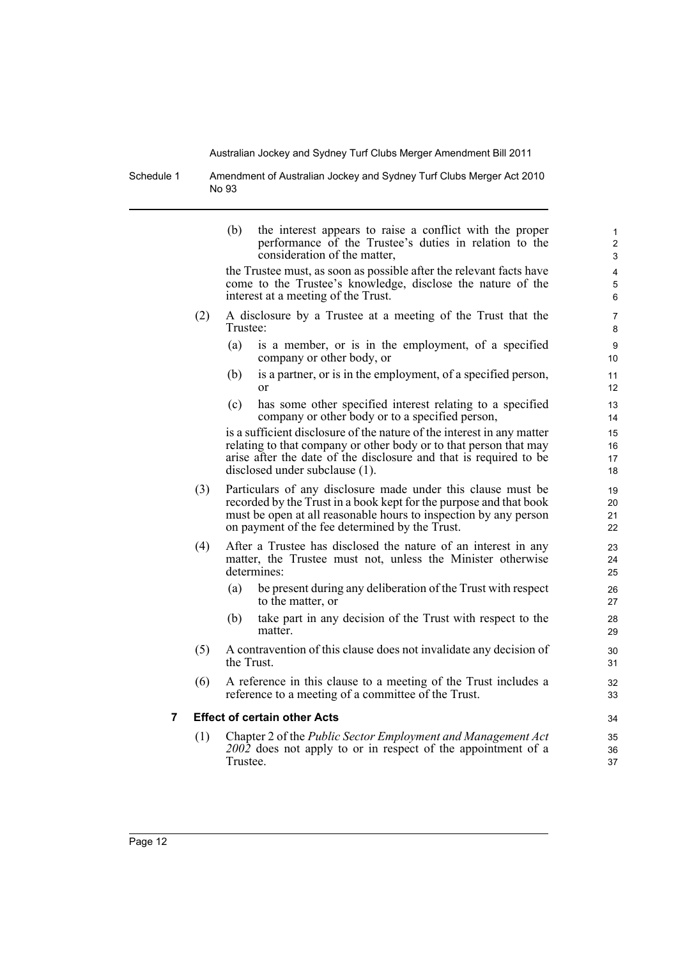Schedule 1 Amendment of Australian Jockey and Sydney Turf Clubs Merger Act 2010 No 93

|   |     | (b)        | the interest appears to raise a conflict with the proper<br>performance of the Trustee's duties in relation to the<br>consideration of the matter,                                                                                                       | 1<br>$\overline{2}$<br>3 |
|---|-----|------------|----------------------------------------------------------------------------------------------------------------------------------------------------------------------------------------------------------------------------------------------------------|--------------------------|
|   |     |            | the Trustee must, as soon as possible after the relevant facts have<br>come to the Trustee's knowledge, disclose the nature of the<br>interest at a meeting of the Trust.                                                                                | 4<br>5<br>6              |
|   | (2) | Trustee:   | A disclosure by a Trustee at a meeting of the Trust that the                                                                                                                                                                                             | 7<br>8                   |
|   |     | (a)        | is a member, or is in the employment, of a specified<br>company or other body, or                                                                                                                                                                        | 9<br>10                  |
|   |     | (b)        | is a partner, or is in the employment, of a specified person,<br>or                                                                                                                                                                                      | 11<br>12                 |
|   |     | (c)        | has some other specified interest relating to a specified<br>company or other body or to a specified person,                                                                                                                                             | 13<br>14                 |
|   |     |            | is a sufficient disclosure of the nature of the interest in any matter<br>relating to that company or other body or to that person that may<br>arise after the date of the disclosure and that is required to be<br>disclosed under subclause (1).       | 15<br>16<br>17<br>18     |
|   | (3) |            | Particulars of any disclosure made under this clause must be<br>recorded by the Trust in a book kept for the purpose and that book<br>must be open at all reasonable hours to inspection by any person<br>on payment of the fee determined by the Trust. | 19<br>20<br>21<br>22     |
|   | (4) |            | After a Trustee has disclosed the nature of an interest in any<br>matter, the Trustee must not, unless the Minister otherwise<br>determines:                                                                                                             | 23<br>24<br>25           |
|   |     | (a)        | be present during any deliberation of the Trust with respect<br>to the matter, or                                                                                                                                                                        | 26<br>27                 |
|   |     | (b)        | take part in any decision of the Trust with respect to the<br>matter.                                                                                                                                                                                    | 28<br>29                 |
|   | (5) | the Trust. | A contravention of this clause does not invalidate any decision of                                                                                                                                                                                       | 30<br>31                 |
|   | (6) |            | A reference in this clause to a meeting of the Trust includes a<br>reference to a meeting of a committee of the Trust.                                                                                                                                   | 32<br>33                 |
| 7 |     |            | <b>Effect of certain other Acts</b>                                                                                                                                                                                                                      | 34                       |
|   | (1) | Trustee.   | Chapter 2 of the Public Sector Employment and Management Act<br>$200\overline{2}$ does not apply to or in respect of the appointment of a                                                                                                                | 35<br>36<br>37           |
|   |     |            |                                                                                                                                                                                                                                                          |                          |